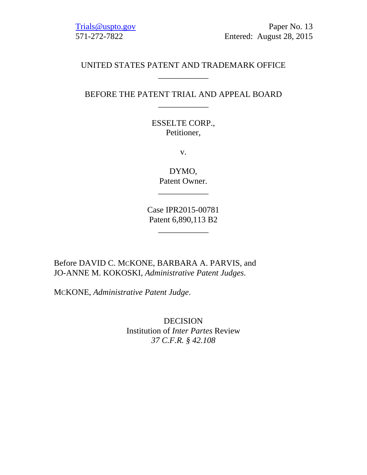Trials@uspto.gov Paper No. 13 571-272-7822 Entered: August 28, 2015

# UNITED STATES PATENT AND TRADEMARK OFFICE \_\_\_\_\_\_\_\_\_\_\_\_

# BEFORE THE PATENT TRIAL AND APPEAL BOARD \_\_\_\_\_\_\_\_\_\_\_\_

ESSELTE CORP., Petitioner,

v.

DYMO, Patent Owner.

\_\_\_\_\_\_\_\_\_\_\_\_

Case IPR2015-00781 Patent 6,890,113 B2

\_\_\_\_\_\_\_\_\_\_\_\_

Before DAVID C. MCKONE, BARBARA A. PARVIS, and JO-ANNE M. KOKOSKI, *Administrative Patent Judges*.

MCKONE, *Administrative Patent Judge*.

DECISION Institution of *Inter Partes* Review *37 C.F.R. § 42.108*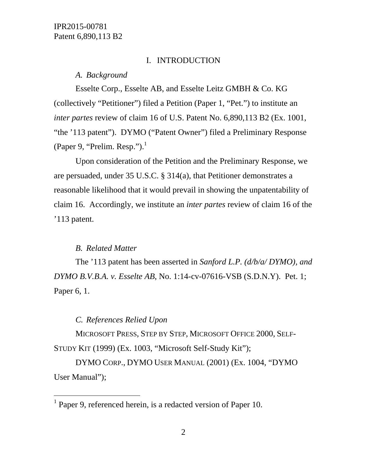### I. INTRODUCTION

#### *A. Background*

Esselte Corp., Esselte AB, and Esselte Leitz GMBH & Co. KG (collectively "Petitioner") filed a Petition (Paper 1, "Pet.") to institute an *inter partes* review of claim 16 of U.S. Patent No. 6,890,113 B2 (Ex. 1001, "the '113 patent"). DYMO ("Patent Owner") filed a Preliminary Response (Paper 9, "Prelim. Resp."). $<sup>1</sup>$ </sup>

Upon consideration of the Petition and the Preliminary Response, we are persuaded, under 35 U.S.C. § 314(a), that Petitioner demonstrates a reasonable likelihood that it would prevail in showing the unpatentability of claim 16. Accordingly, we institute an *inter partes* review of claim 16 of the '113 patent.

### *B. Related Matter*

l

The '113 patent has been asserted in *Sanford L.P. (d/b/a/ DYMO), and DYMO B.V.B.A. v. Esselte AB*, No. 1:14-cv-07616-VSB (S.D.N.Y). Pet. 1; Paper 6, 1.

# *C. References Relied Upon*

MICROSOFT PRESS, STEP BY STEP, MICROSOFT OFFICE 2000, SELF-STUDY KIT (1999) (Ex. 1003, "Microsoft Self-Study Kit");

DYMO CORP., DYMO USER MANUAL (2001) (Ex. 1004, "DYMO User Manual");

<sup>&</sup>lt;sup>1</sup> Paper 9, referenced herein, is a redacted version of Paper 10.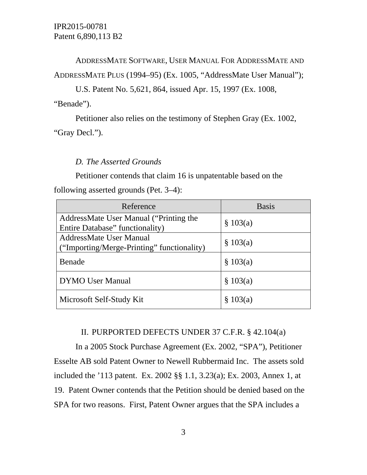# ADDRESSMATE SOFTWARE, USER MANUAL FOR ADDRESSMATE AND ADDRESSMATE PLUS (1994–95) (Ex. 1005, "AddressMate User Manual");

U.S. Patent No. 5,621, 864, issued Apr. 15, 1997 (Ex. 1008,

"Benade").

Petitioner also relies on the testimony of Stephen Gray (Ex. 1002, "Gray Decl.").

# *D. The Asserted Grounds*

Petitioner contends that claim 16 is unpatentable based on the

following asserted grounds (Pet. 3–4):

| Reference                                                             | <b>Basis</b> |
|-----------------------------------------------------------------------|--------------|
| AddressMate User Manual ("Printing the                                | \$103(a)     |
| Entire Database" functionality)                                       |              |
| AddressMate User Manual<br>("Importing/Merge-Printing" functionality) | \$103(a)     |
| Benade                                                                | \$103(a)     |
| <b>DYMO</b> User Manual                                               | \$103(a)     |
| Microsoft Self-Study Kit                                              | \$103(a)     |

### II. PURPORTED DEFECTS UNDER 37 C.F.R. § 42.104(a)

In a 2005 Stock Purchase Agreement (Ex. 2002, "SPA"), Petitioner Esselte AB sold Patent Owner to Newell Rubbermaid Inc. The assets sold included the '113 patent. Ex. 2002 §§ 1.1, 3.23(a); Ex. 2003, Annex 1, at 19. Patent Owner contends that the Petition should be denied based on the SPA for two reasons. First, Patent Owner argues that the SPA includes a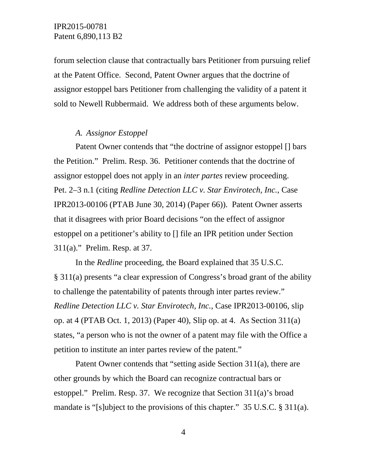forum selection clause that contractually bars Petitioner from pursuing relief at the Patent Office. Second, Patent Owner argues that the doctrine of assignor estoppel bars Petitioner from challenging the validity of a patent it sold to Newell Rubbermaid. We address both of these arguments below.

### *A. Assignor Estoppel*

Patent Owner contends that "the doctrine of assignor estoppel [] bars the Petition." Prelim. Resp. 36. Petitioner contends that the doctrine of assignor estoppel does not apply in an *inter partes* review proceeding. Pet. 2–3 n.1 (citing *Redline Detection LLC v. Star Envirotech, Inc.*, Case IPR2013-00106 (PTAB June 30, 2014) (Paper 66)). Patent Owner asserts that it disagrees with prior Board decisions "on the effect of assignor estoppel on a petitioner's ability to [] file an IPR petition under Section 311(a)." Prelim. Resp. at 37.

In the *Redline* proceeding, the Board explained that 35 U.S.C. § 311(a) presents "a clear expression of Congress's broad grant of the ability to challenge the patentability of patents through inter partes review." *Redline Detection LLC v. Star Envirotech, Inc.*, Case IPR2013-00106, slip op. at 4 (PTAB Oct. 1, 2013) (Paper 40), Slip op. at 4. As Section 311(a) states, "a person who is not the owner of a patent may file with the Office a petition to institute an inter partes review of the patent."

Patent Owner contends that "setting aside Section 311(a), there are other grounds by which the Board can recognize contractual bars or estoppel." Prelim. Resp. 37. We recognize that Section 311(a)'s broad mandate is "[s]ubject to the provisions of this chapter." 35 U.S.C. § 311(a).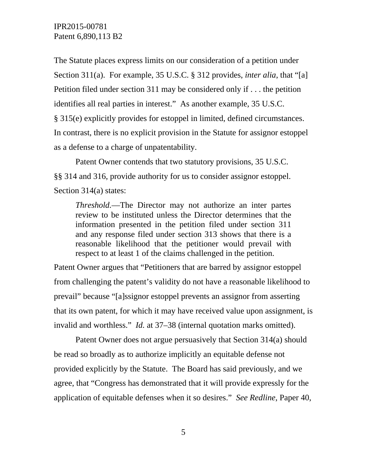The Statute places express limits on our consideration of a petition under Section 311(a). For example, 35 U.S.C. § 312 provides, *inter alia*, that "[a] Petition filed under section 311 may be considered only if . . . the petition identifies all real parties in interest." As another example, 35 U.S.C. § 315(e) explicitly provides for estoppel in limited, defined circumstances. In contrast, there is no explicit provision in the Statute for assignor estoppel as a defense to a charge of unpatentability.

Patent Owner contends that two statutory provisions, 35 U.S.C. §§ 314 and 316, provide authority for us to consider assignor estoppel. Section 314(a) states:

*Threshold.*—The Director may not authorize an inter partes review to be instituted unless the Director determines that the information presented in the petition filed under section 311 and any response filed under section 313 shows that there is a reasonable likelihood that the petitioner would prevail with respect to at least 1 of the claims challenged in the petition.

Patent Owner argues that "Petitioners that are barred by assignor estoppel from challenging the patent's validity do not have a reasonable likelihood to prevail" because "[a]ssignor estoppel prevents an assignor from asserting that its own patent, for which it may have received value upon assignment, is invalid and worthless." *Id.* at 37–38 (internal quotation marks omitted).

 Patent Owner does not argue persuasively that Section 314(a) should be read so broadly as to authorize implicitly an equitable defense not provided explicitly by the Statute. The Board has said previously, and we agree, that "Congress has demonstrated that it will provide expressly for the application of equitable defenses when it so desires." *See Redline*, Paper 40,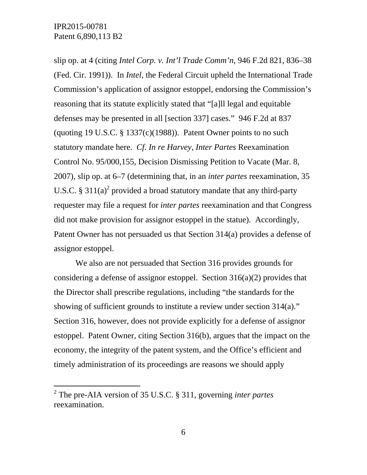$\overline{a}$ 

slip op. at 4 (citing *Intel Corp. v. Int'l Trade Comm'n*, 946 F.2d 821, 836–38 (Fed. Cir. 1991)). In *Intel*, the Federal Circuit upheld the International Trade Commission's application of assignor estoppel, endorsing the Commission's reasoning that its statute explicitly stated that "[a]ll legal and equitable defenses may be presented in all [section 337] cases." 946 F.2d at 837 (quoting 19 U.S.C.  $\S$  1337(c)(1988)). Patent Owner points to no such statutory mandate here. *Cf. In re Harvey*, *Inter Partes* Reexamination Control No. 95/000,155, Decision Dismissing Petition to Vacate (Mar. 8, 2007), slip op. at 6–7 (determining that, in an *inter partes* reexamination, 35 U.S.C. § 311(a)<sup>2</sup> provided a broad statutory mandate that any third-party requester may file a request for *inter partes* reexamination and that Congress did not make provision for assignor estoppel in the statue). Accordingly, Patent Owner has not persuaded us that Section 314(a) provides a defense of assignor estoppel.

We also are not persuaded that Section 316 provides grounds for considering a defense of assignor estoppel. Section  $316(a)(2)$  provides that the Director shall prescribe regulations, including "the standards for the showing of sufficient grounds to institute a review under section 314(a)." Section 316, however, does not provide explicitly for a defense of assignor estoppel. Patent Owner, citing Section 316(b), argues that the impact on the economy, the integrity of the patent system, and the Office's efficient and timely administration of its proceedings are reasons we should apply

<sup>2</sup> The pre-AIA version of 35 U.S.C. § 311, governing *inter partes* reexamination.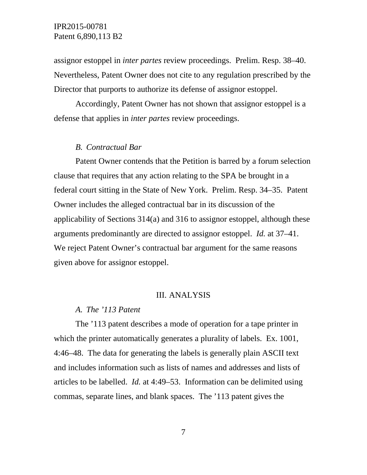assignor estoppel in *inter partes* review proceedings. Prelim. Resp. 38–40. Nevertheless, Patent Owner does not cite to any regulation prescribed by the Director that purports to authorize its defense of assignor estoppel.

Accordingly, Patent Owner has not shown that assignor estoppel is a defense that applies in *inter partes* review proceedings.

#### *B. Contractual Bar*

Patent Owner contends that the Petition is barred by a forum selection clause that requires that any action relating to the SPA be brought in a federal court sitting in the State of New York. Prelim. Resp. 34–35. Patent Owner includes the alleged contractual bar in its discussion of the applicability of Sections 314(a) and 316 to assignor estoppel, although these arguments predominantly are directed to assignor estoppel. *Id.* at 37–41. We reject Patent Owner's contractual bar argument for the same reasons given above for assignor estoppel.

#### III. ANALYSIS

#### *A. The '113 Patent*

The '113 patent describes a mode of operation for a tape printer in which the printer automatically generates a plurality of labels. Ex. 1001, 4:46–48. The data for generating the labels is generally plain ASCII text and includes information such as lists of names and addresses and lists of articles to be labelled. *Id.* at 4:49–53. Information can be delimited using commas, separate lines, and blank spaces. The '113 patent gives the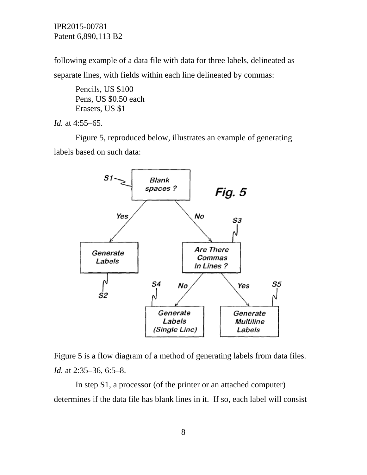following example of a data file with data for three labels, delineated as separate lines, with fields within each line delineated by commas:

Pencils, US \$100 Pens, US \$0.50 each Erasers, US \$1

*Id.* at 4:55–65.

Figure 5, reproduced below, illustrates an example of generating labels based on such data:





In step S1, a processor (of the printer or an attached computer) determines if the data file has blank lines in it. If so, each label will consist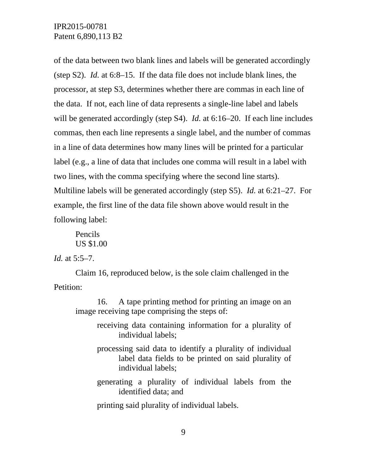of the data between two blank lines and labels will be generated accordingly (step S2). *Id.* at 6:8–15. If the data file does not include blank lines, the processor, at step S3, determines whether there are commas in each line of the data. If not, each line of data represents a single-line label and labels will be generated accordingly (step S4). *Id.* at 6:16–20. If each line includes commas, then each line represents a single label, and the number of commas in a line of data determines how many lines will be printed for a particular label (e.g., a line of data that includes one comma will result in a label with two lines, with the comma specifying where the second line starts). Multiline labels will be generated accordingly (step S5). *Id.* at 6:21–27. For example, the first line of the data file shown above would result in the following label:

Pencils US \$1.00

*Id.* at 5:5–7.

Claim 16, reproduced below, is the sole claim challenged in the Petition:

16. A tape printing method for printing an image on an image receiving tape comprising the steps of:

- receiving data containing information for a plurality of individual labels;
- processing said data to identify a plurality of individual label data fields to be printed on said plurality of individual labels;
- generating a plurality of individual labels from the identified data; and

printing said plurality of individual labels.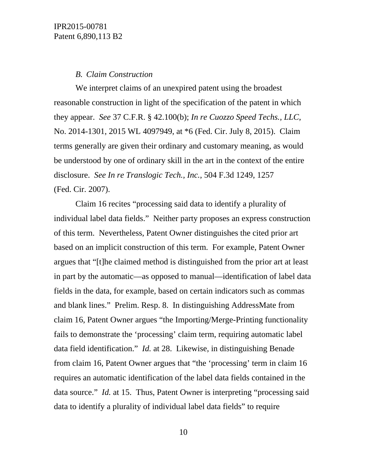#### *B. Claim Construction*

We interpret claims of an unexpired patent using the broadest reasonable construction in light of the specification of the patent in which they appear. *See* 37 C.F.R. § 42.100(b); *In re Cuozzo Speed Techs., LLC*, No. 2014-1301, 2015 WL 4097949, at \*6 (Fed. Cir. July 8, 2015). Claim terms generally are given their ordinary and customary meaning, as would be understood by one of ordinary skill in the art in the context of the entire disclosure. *See In re Translogic Tech., Inc.*, 504 F.3d 1249, 1257 (Fed. Cir. 2007).

Claim 16 recites "processing said data to identify a plurality of individual label data fields." Neither party proposes an express construction of this term. Nevertheless, Patent Owner distinguishes the cited prior art based on an implicit construction of this term. For example, Patent Owner argues that "[t]he claimed method is distinguished from the prior art at least in part by the automatic—as opposed to manual—identification of label data fields in the data, for example, based on certain indicators such as commas and blank lines." Prelim. Resp. 8. In distinguishing AddressMate from claim 16, Patent Owner argues "the Importing/Merge-Printing functionality fails to demonstrate the 'processing' claim term, requiring automatic label data field identification." *Id.* at 28. Likewise, in distinguishing Benade from claim 16, Patent Owner argues that "the 'processing' term in claim 16 requires an automatic identification of the label data fields contained in the data source." *Id.* at 15. Thus, Patent Owner is interpreting "processing said data to identify a plurality of individual label data fields" to require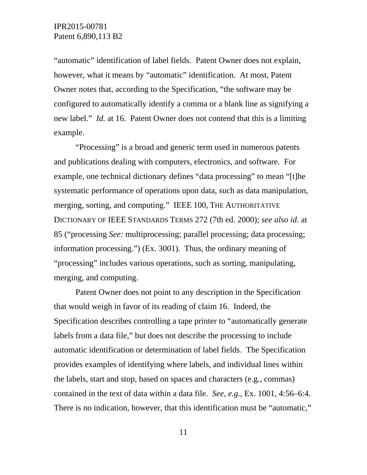"automatic" identification of label fields. Patent Owner does not explain, however, what it means by "automatic" identification. At most, Patent Owner notes that, according to the Specification, "the software may be configured to automatically identify a comma or a blank line as signifying a new label." *Id.* at 16. Patent Owner does not contend that this is a limiting example.

"Processing" is a broad and generic term used in numerous patents and publications dealing with computers, electronics, and software. For example, one technical dictionary defines "data processing" to mean "[t]he systematic performance of operations upon data, such as data manipulation, merging, sorting, and computing." IEEE 100, THE AUTHORITATIVE DICTIONARY OF IEEE STANDARDS TERMS 272 (7th ed. 2000); *see also id.* at 85 ("processing *See:* multiprocessing; parallel processing; data processing; information processing.") (Ex. 3001). Thus, the ordinary meaning of "processing" includes various operations, such as sorting, manipulating, merging, and computing.

Patent Owner does not point to any description in the Specification that would weigh in favor of its reading of claim 16. Indeed, the Specification describes controlling a tape printer to "automatically generate labels from a data file," but does not describe the processing to include automatic identification or determination of label fields. The Specification provides examples of identifying where labels, and individual lines within the labels, start and stop, based on spaces and characters (e.g., commas) contained in the text of data within a data file. *See, e.g.*, Ex. 1001, 4:56–6:4. There is no indication, however, that this identification must be "automatic,"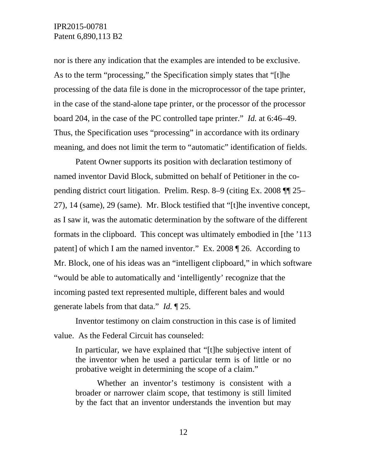nor is there any indication that the examples are intended to be exclusive. As to the term "processing," the Specification simply states that "[t]he processing of the data file is done in the microprocessor of the tape printer, in the case of the stand-alone tape printer, or the processor of the processor board 204, in the case of the PC controlled tape printer." *Id.* at 6:46–49. Thus, the Specification uses "processing" in accordance with its ordinary meaning, and does not limit the term to "automatic" identification of fields.

Patent Owner supports its position with declaration testimony of named inventor David Block, submitted on behalf of Petitioner in the copending district court litigation. Prelim. Resp. 8–9 (citing Ex. 2008 ¶¶ 25– 27), 14 (same), 29 (same). Mr. Block testified that "[t]he inventive concept, as I saw it, was the automatic determination by the software of the different formats in the clipboard. This concept was ultimately embodied in [the '113 patent] of which I am the named inventor." Ex. 2008 ¶ 26. According to Mr. Block, one of his ideas was an "intelligent clipboard," in which software "would be able to automatically and 'intelligently' recognize that the incoming pasted text represented multiple, different bales and would generate labels from that data." *Id.* ¶ 25.

Inventor testimony on claim construction in this case is of limited value. As the Federal Circuit has counseled:

In particular, we have explained that "[t]he subjective intent of the inventor when he used a particular term is of little or no probative weight in determining the scope of a claim."

Whether an inventor's testimony is consistent with a broader or narrower claim scope, that testimony is still limited by the fact that an inventor understands the invention but may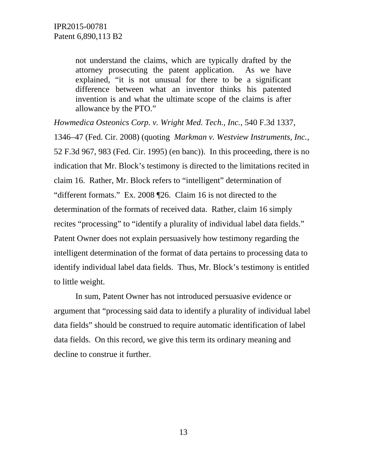not understand the claims, which are typically drafted by the attorney prosecuting the patent application. As we have explained, "it is not unusual for there to be a significant difference between what an inventor thinks his patented invention is and what the ultimate scope of the claims is after allowance by the PTO."

*Howmedica Osteonics Corp. v. Wright Med. Tech., Inc.*, 540 F.3d 1337, 1346–47 (Fed. Cir. 2008) (quoting *Markman v. Westview Instruments, Inc.*, 52 F.3d 967, 983 (Fed. Cir. 1995) (en banc)). In this proceeding, there is no indication that Mr. Block's testimony is directed to the limitations recited in claim 16. Rather, Mr. Block refers to "intelligent" determination of "different formats." Ex. 2008 ¶26. Claim 16 is not directed to the determination of the formats of received data. Rather, claim 16 simply recites "processing" to "identify a plurality of individual label data fields." Patent Owner does not explain persuasively how testimony regarding the intelligent determination of the format of data pertains to processing data to identify individual label data fields. Thus, Mr. Block's testimony is entitled to little weight.

In sum, Patent Owner has not introduced persuasive evidence or argument that "processing said data to identify a plurality of individual label data fields" should be construed to require automatic identification of label data fields. On this record, we give this term its ordinary meaning and decline to construe it further.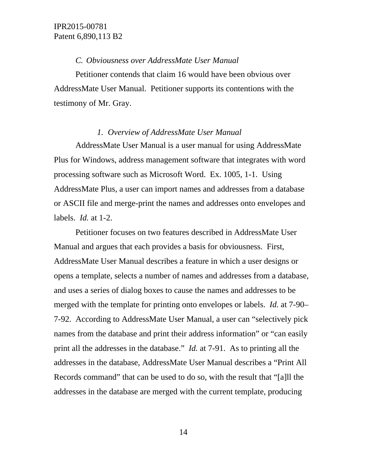#### *C. Obviousness over AddressMate User Manual*

Petitioner contends that claim 16 would have been obvious over AddressMate User Manual. Petitioner supports its contentions with the testimony of Mr. Gray.

#### *1. Overview of AddressMate User Manual*

AddressMate User Manual is a user manual for using AddressMate Plus for Windows, address management software that integrates with word processing software such as Microsoft Word. Ex. 1005, 1-1. Using AddressMate Plus, a user can import names and addresses from a database or ASCII file and merge-print the names and addresses onto envelopes and labels. *Id.* at 1-2.

Petitioner focuses on two features described in AddressMate User Manual and argues that each provides a basis for obviousness. First, AddressMate User Manual describes a feature in which a user designs or opens a template, selects a number of names and addresses from a database, and uses a series of dialog boxes to cause the names and addresses to be merged with the template for printing onto envelopes or labels. *Id.* at 7-90– 7-92. According to AddressMate User Manual, a user can "selectively pick names from the database and print their address information" or "can easily print all the addresses in the database." *Id.* at 7-91. As to printing all the addresses in the database, AddressMate User Manual describes a "Print All Records command" that can be used to do so, with the result that "[a]ll the addresses in the database are merged with the current template, producing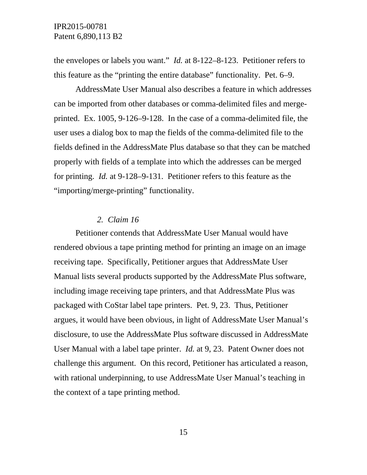the envelopes or labels you want." *Id.* at 8-122–8-123. Petitioner refers to this feature as the "printing the entire database" functionality. Pet. 6–9.

AddressMate User Manual also describes a feature in which addresses can be imported from other databases or comma-delimited files and mergeprinted. Ex. 1005, 9-126–9-128. In the case of a comma-delimited file, the user uses a dialog box to map the fields of the comma-delimited file to the fields defined in the AddressMate Plus database so that they can be matched properly with fields of a template into which the addresses can be merged for printing. *Id.* at 9-128–9-131. Petitioner refers to this feature as the "importing/merge-printing" functionality.

#### *2. Claim 16*

Petitioner contends that AddressMate User Manual would have rendered obvious a tape printing method for printing an image on an image receiving tape. Specifically, Petitioner argues that AddressMate User Manual lists several products supported by the AddressMate Plus software, including image receiving tape printers, and that AddressMate Plus was packaged with CoStar label tape printers. Pet. 9, 23. Thus, Petitioner argues, it would have been obvious, in light of AddressMate User Manual's disclosure, to use the AddressMate Plus software discussed in AddressMate User Manual with a label tape printer. *Id.* at 9, 23. Patent Owner does not challenge this argument. On this record, Petitioner has articulated a reason, with rational underpinning, to use AddressMate User Manual's teaching in the context of a tape printing method.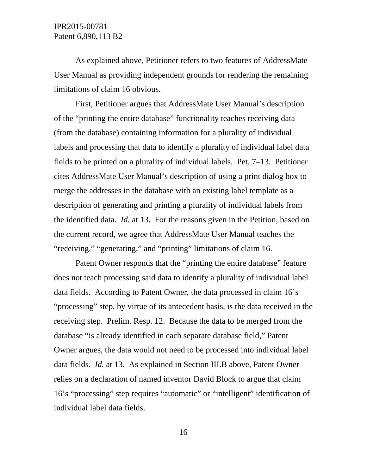As explained above, Petitioner refers to two features of AddressMate User Manual as providing independent grounds for rendering the remaining limitations of claim 16 obvious.

First, Petitioner argues that AddressMate User Manual's description of the "printing the entire database" functionality teaches receiving data (from the database) containing information for a plurality of individual labels and processing that data to identify a plurality of individual label data fields to be printed on a plurality of individual labels. Pet. 7–13. Petitioner cites AddressMate User Manual's description of using a print dialog box to merge the addresses in the database with an existing label template as a description of generating and printing a plurality of individual labels from the identified data. *Id.* at 13. For the reasons given in the Petition, based on the current record, we agree that AddressMate User Manual teaches the "receiving," "generating," and "printing" limitations of claim 16.

Patent Owner responds that the "printing the entire database" feature does not teach processing said data to identify a plurality of individual label data fields. According to Patent Owner, the data processed in claim 16's "processing" step, by virtue of its antecedent basis, is the data received in the receiving step. Prelim. Resp. 12. Because the data to be merged from the database "is already identified in each separate database field," Patent Owner argues, the data would not need to be processed into individual label data fields. *Id.* at 13. As explained in Section III.B above, Patent Owner relies on a declaration of named inventor David Block to argue that claim 16's "processing" step requires "automatic" or "intelligent" identification of individual label data fields.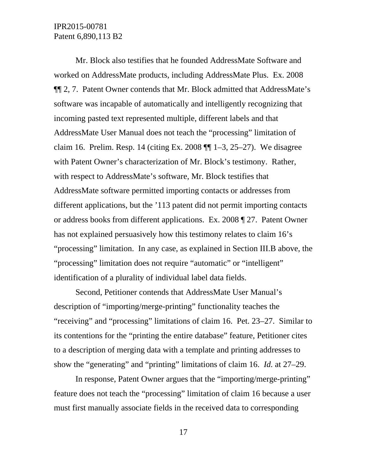Mr. Block also testifies that he founded AddressMate Software and worked on AddressMate products, including AddressMate Plus. Ex. 2008 ¶¶ 2, 7. Patent Owner contends that Mr. Block admitted that AddressMate's software was incapable of automatically and intelligently recognizing that incoming pasted text represented multiple, different labels and that AddressMate User Manual does not teach the "processing" limitation of claim 16. Prelim. Resp. 14 (citing Ex. 2008 ¶¶ 1–3, 25–27). We disagree with Patent Owner's characterization of Mr. Block's testimony. Rather, with respect to AddressMate's software, Mr. Block testifies that AddressMate software permitted importing contacts or addresses from different applications, but the '113 patent did not permit importing contacts or address books from different applications. Ex. 2008 ¶ 27. Patent Owner has not explained persuasively how this testimony relates to claim 16's "processing" limitation. In any case, as explained in Section III.B above, the "processing" limitation does not require "automatic" or "intelligent" identification of a plurality of individual label data fields.

Second, Petitioner contends that AddressMate User Manual's description of "importing/merge-printing" functionality teaches the "receiving" and "processing" limitations of claim 16. Pet. 23–27. Similar to its contentions for the "printing the entire database" feature, Petitioner cites to a description of merging data with a template and printing addresses to show the "generating" and "printing" limitations of claim 16. *Id.* at 27–29.

In response, Patent Owner argues that the "importing/merge-printing" feature does not teach the "processing" limitation of claim 16 because a user must first manually associate fields in the received data to corresponding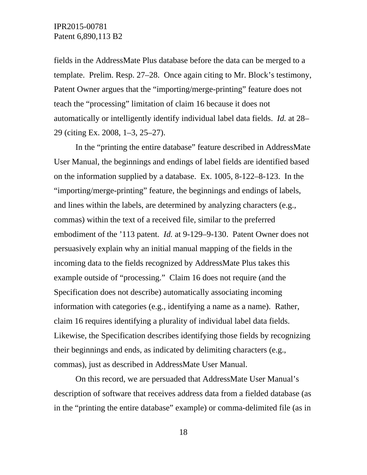fields in the AddressMate Plus database before the data can be merged to a template. Prelim. Resp. 27–28. Once again citing to Mr. Block's testimony, Patent Owner argues that the "importing/merge-printing" feature does not teach the "processing" limitation of claim 16 because it does not automatically or intelligently identify individual label data fields. *Id.* at 28– 29 (citing Ex. 2008, 1–3, 25–27).

In the "printing the entire database" feature described in AddressMate User Manual, the beginnings and endings of label fields are identified based on the information supplied by a database. Ex. 1005, 8-122–8-123. In the "importing/merge-printing" feature, the beginnings and endings of labels, and lines within the labels, are determined by analyzing characters (e.g., commas) within the text of a received file, similar to the preferred embodiment of the '113 patent. *Id.* at 9-129–9-130. Patent Owner does not persuasively explain why an initial manual mapping of the fields in the incoming data to the fields recognized by AddressMate Plus takes this example outside of "processing." Claim 16 does not require (and the Specification does not describe) automatically associating incoming information with categories (e.g., identifying a name as a name). Rather, claim 16 requires identifying a plurality of individual label data fields. Likewise, the Specification describes identifying those fields by recognizing their beginnings and ends, as indicated by delimiting characters (e.g., commas), just as described in AddressMate User Manual.

On this record, we are persuaded that AddressMate User Manual's description of software that receives address data from a fielded database (as in the "printing the entire database" example) or comma-delimited file (as in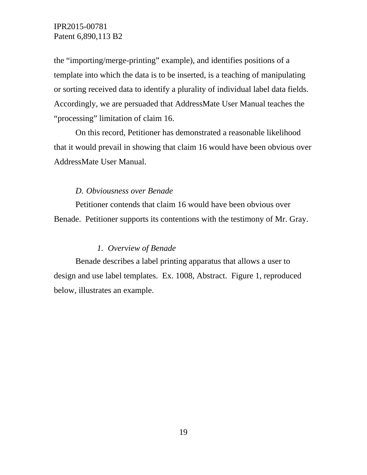the "importing/merge-printing" example), and identifies positions of a template into which the data is to be inserted, is a teaching of manipulating or sorting received data to identify a plurality of individual label data fields. Accordingly, we are persuaded that AddressMate User Manual teaches the "processing" limitation of claim 16.

On this record, Petitioner has demonstrated a reasonable likelihood that it would prevail in showing that claim 16 would have been obvious over AddressMate User Manual.

### *D. Obviousness over Benade*

Petitioner contends that claim 16 would have been obvious over Benade. Petitioner supports its contentions with the testimony of Mr. Gray.

### *1. Overview of Benade*

Benade describes a label printing apparatus that allows a user to design and use label templates. Ex. 1008, Abstract. Figure 1, reproduced below, illustrates an example.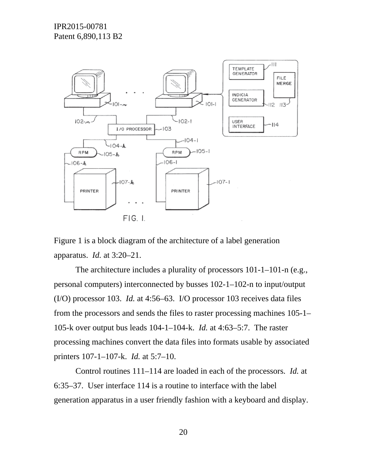

Figure 1 is a block diagram of the architecture of a label generation apparatus. *Id.* at 3:20–21.

The architecture includes a plurality of processors 101-1–101-n (e.g., personal computers) interconnected by busses 102-1–102-n to input/output (I/O) processor 103. *Id.* at 4:56–63. I/O processor 103 receives data files from the processors and sends the files to raster processing machines 105-1– 105-k over output bus leads 104-1–104-k. *Id.* at 4:63–5:7. The raster processing machines convert the data files into formats usable by associated printers 107-1–107-k. *Id.* at 5:7–10.

Control routines 111–114 are loaded in each of the processors. *Id.* at 6:35–37. User interface 114 is a routine to interface with the label generation apparatus in a user friendly fashion with a keyboard and display.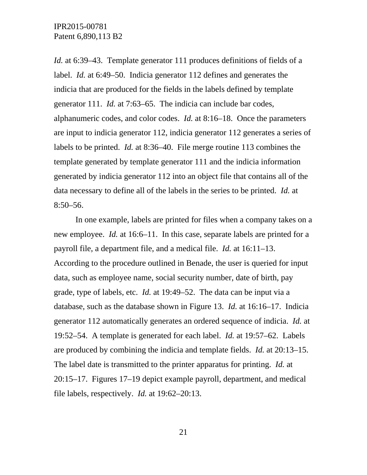*Id.* at 6:39–43. Template generator 111 produces definitions of fields of a label. *Id.* at 6:49–50. Indicia generator 112 defines and generates the indicia that are produced for the fields in the labels defined by template generator 111. *Id.* at 7:63–65. The indicia can include bar codes, alphanumeric codes, and color codes. *Id.* at 8:16–18. Once the parameters are input to indicia generator 112, indicia generator 112 generates a series of labels to be printed. *Id.* at 8:36–40. File merge routine 113 combines the template generated by template generator 111 and the indicia information generated by indicia generator 112 into an object file that contains all of the data necessary to define all of the labels in the series to be printed. *Id.* at  $8:50-56.$ 

In one example, labels are printed for files when a company takes on a new employee. *Id.* at 16:6–11. In this case, separate labels are printed for a payroll file, a department file, and a medical file. *Id.* at 16:11–13. According to the procedure outlined in Benade, the user is queried for input data, such as employee name, social security number, date of birth, pay grade, type of labels, etc. *Id.* at 19:49–52. The data can be input via a database, such as the database shown in Figure 13. *Id.* at 16:16–17. Indicia generator 112 automatically generates an ordered sequence of indicia. *Id.* at 19:52–54. A template is generated for each label. *Id.* at 19:57–62. Labels are produced by combining the indicia and template fields. *Id.* at 20:13–15. The label date is transmitted to the printer apparatus for printing. *Id.* at 20:15–17. Figures 17–19 depict example payroll, department, and medical file labels, respectively. *Id.* at 19:62–20:13.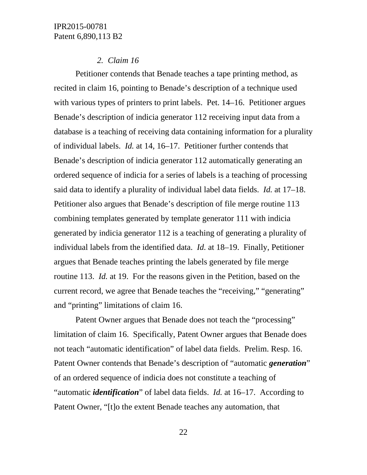#### *2. Claim 16*

Petitioner contends that Benade teaches a tape printing method, as recited in claim 16, pointing to Benade's description of a technique used with various types of printers to print labels. Pet. 14–16. Petitioner argues Benade's description of indicia generator 112 receiving input data from a database is a teaching of receiving data containing information for a plurality of individual labels. *Id.* at 14, 16–17. Petitioner further contends that Benade's description of indicia generator 112 automatically generating an ordered sequence of indicia for a series of labels is a teaching of processing said data to identify a plurality of individual label data fields. *Id.* at 17–18. Petitioner also argues that Benade's description of file merge routine 113 combining templates generated by template generator 111 with indicia generated by indicia generator 112 is a teaching of generating a plurality of individual labels from the identified data. *Id.* at 18–19. Finally, Petitioner argues that Benade teaches printing the labels generated by file merge routine 113. *Id.* at 19. For the reasons given in the Petition, based on the current record, we agree that Benade teaches the "receiving," "generating" and "printing" limitations of claim 16.

Patent Owner argues that Benade does not teach the "processing" limitation of claim 16. Specifically, Patent Owner argues that Benade does not teach "automatic identification" of label data fields. Prelim. Resp. 16. Patent Owner contends that Benade's description of "automatic *generation*" of an ordered sequence of indicia does not constitute a teaching of "automatic *identification*" of label data fields. *Id.* at 16–17. According to Patent Owner, "[t]o the extent Benade teaches any automation, that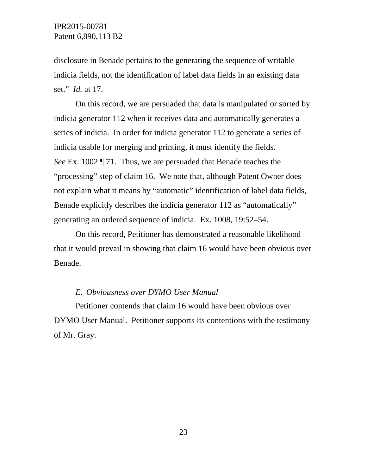disclosure in Benade pertains to the generating the sequence of writable indicia fields, not the identification of label data fields in an existing data set." *Id.* at 17.

On this record, we are persuaded that data is manipulated or sorted by indicia generator 112 when it receives data and automatically generates a series of indicia. In order for indicia generator 112 to generate a series of indicia usable for merging and printing, it must identify the fields. *See* Ex. 1002 ¶ 71. Thus, we are persuaded that Benade teaches the "processing" step of claim 16. We note that, although Patent Owner does not explain what it means by "automatic" identification of label data fields, Benade explicitly describes the indicia generator 112 as "automatically" generating an ordered sequence of indicia. Ex. 1008, 19:52–54.

On this record, Petitioner has demonstrated a reasonable likelihood that it would prevail in showing that claim 16 would have been obvious over Benade.

#### *E. Obviousness over DYMO User Manual*

Petitioner contends that claim 16 would have been obvious over DYMO User Manual. Petitioner supports its contentions with the testimony of Mr. Gray.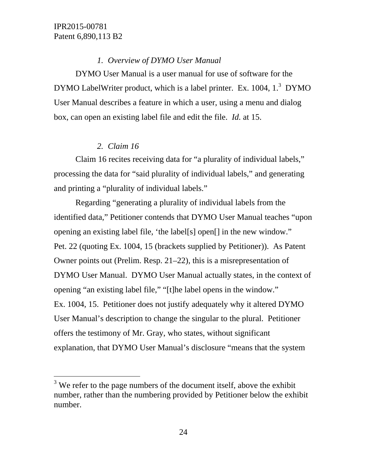$\overline{a}$ 

# *1. Overview of DYMO User Manual*

DYMO User Manual is a user manual for use of software for the DYMO LabelWriter product, which is a label printer. Ex. 1004, 1.<sup>3</sup> DYMO User Manual describes a feature in which a user, using a menu and dialog box, can open an existing label file and edit the file. *Id.* at 15.

# *2. Claim 16*

Claim 16 recites receiving data for "a plurality of individual labels," processing the data for "said plurality of individual labels," and generating and printing a "plurality of individual labels."

Regarding "generating a plurality of individual labels from the identified data," Petitioner contends that DYMO User Manual teaches "upon opening an existing label file, 'the label[s] open[] in the new window." Pet. 22 (quoting Ex. 1004, 15 (brackets supplied by Petitioner)). As Patent Owner points out (Prelim. Resp. 21–22), this is a misrepresentation of DYMO User Manual. DYMO User Manual actually states, in the context of opening "an existing label file," "[t]he label opens in the window." Ex. 1004, 15. Petitioner does not justify adequately why it altered DYMO User Manual's description to change the singular to the plural. Petitioner offers the testimony of Mr. Gray, who states, without significant explanation, that DYMO User Manual's disclosure "means that the system

 $3$  We refer to the page numbers of the document itself, above the exhibit number, rather than the numbering provided by Petitioner below the exhibit number.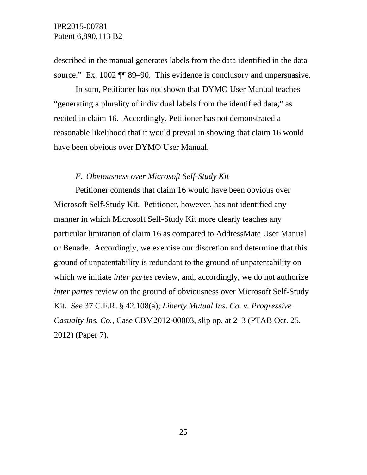described in the manual generates labels from the data identified in the data source." Ex. 1002 ¶¶ 89–90. This evidence is conclusory and unpersuasive.

In sum, Petitioner has not shown that DYMO User Manual teaches "generating a plurality of individual labels from the identified data," as recited in claim 16. Accordingly, Petitioner has not demonstrated a reasonable likelihood that it would prevail in showing that claim 16 would have been obvious over DYMO User Manual.

#### *F. Obviousness over Microsoft Self-Study Kit*

Petitioner contends that claim 16 would have been obvious over Microsoft Self-Study Kit. Petitioner, however, has not identified any manner in which Microsoft Self-Study Kit more clearly teaches any particular limitation of claim 16 as compared to AddressMate User Manual or Benade. Accordingly, we exercise our discretion and determine that this ground of unpatentability is redundant to the ground of unpatentability on which we initiate *inter partes* review, and, accordingly, we do not authorize *inter partes* review on the ground of obviousness over Microsoft Self-Study Kit. *See* 37 C.F.R. § 42.108(a); *Liberty Mutual Ins. Co. v. Progressive Casualty Ins. Co.,* Case CBM2012-00003, slip op. at 2–3 (PTAB Oct. 25, 2012) (Paper 7).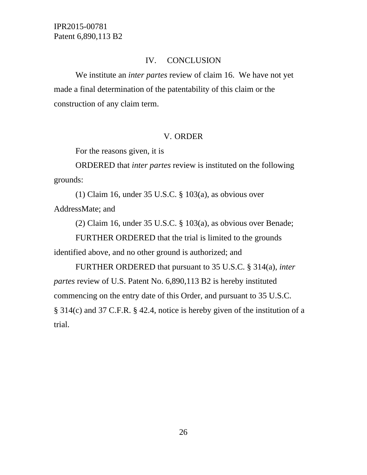# IV. CONCLUSION

We institute an *inter partes* review of claim 16. We have not yet made a final determination of the patentability of this claim or the construction of any claim term.

# V. ORDER

For the reasons given, it is

ORDERED that *inter partes* review is instituted on the following grounds:

(1) Claim 16, under 35 U.S.C. § 103(a), as obvious over AddressMate; and

(2) Claim 16, under 35 U.S.C. § 103(a), as obvious over Benade;

FURTHER ORDERED that the trial is limited to the grounds

identified above, and no other ground is authorized; and

FURTHER ORDERED that pursuant to 35 U.S.C. § 314(a), *inter partes* review of U.S. Patent No. 6,890,113 B2 is hereby instituted commencing on the entry date of this Order, and pursuant to 35 U.S.C. § 314(c) and 37 C.F.R. § 42.4, notice is hereby given of the institution of a trial.